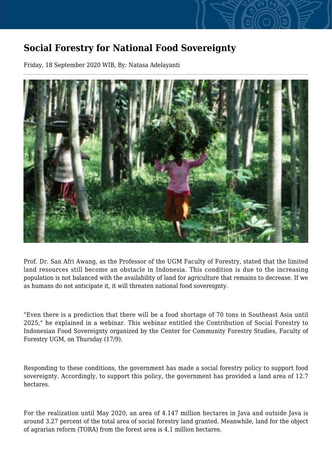## **Social Forestry for National Food Sovereignty**

Friday, 18 September 2020 WIB, By: Natasa Adelayanti



Prof. Dr. San Afri Awang, as the Professor of the UGM Faculty of Forestry, stated that the limited land resources still become an obstacle in Indonesia. This condition is due to the increasing population is not balanced with the availability of land for agriculture that remains to decrease. If we as humans do not anticipate it, it will threaten national food sovereignty.

"Even there is a prediction that there will be a food shortage of 70 tons in Southeast Asia until 2025," he explained in a webinar. This webinar entitled the Contribution of Social Forestry to Indonesian Food Sovereignty organized by the Center for Community Forestry Studies, Faculty of Forestry UGM, on Thursday (17/9).

Responding to these conditions, the government has made a social forestry policy to support food sovereignty. Accordingly, to support this policy, the government has provided a land area of 12.7 hectares.

For the realization until May 2020, an area of 4.147 million hectares in Java and outside Java is around 3.27 percent of the total area of social forestry land granted. Meanwhile, land for the object of agrarian reform (TORA) from the forest area is 4.1 million hectares.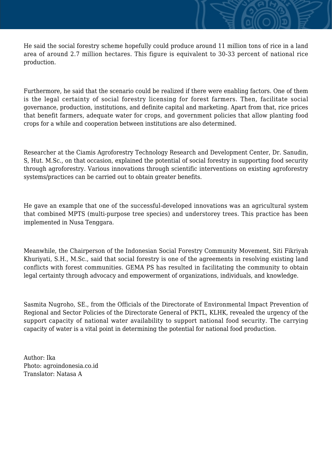He said the social forestry scheme hopefully could produce around 11 million tons of rice in a land area of around 2.7 million hectares. This figure is equivalent to 30-33 percent of national rice production.

Furthermore, he said that the scenario could be realized if there were enabling factors. One of them is the legal certainty of social forestry licensing for forest farmers. Then, facilitate social governance, production, institutions, and definite capital and marketing. Apart from that, rice prices that benefit farmers, adequate water for crops, and government policies that allow planting food crops for a while and cooperation between institutions are also determined.

Researcher at the Ciamis Agroforestry Technology Research and Development Center, Dr. Sanudin, S, Hut. M.Sc., on that occasion, explained the potential of social forestry in supporting food security through agroforestry. Various innovations through scientific interventions on existing agroforestry systems/practices can be carried out to obtain greater benefits.

He gave an example that one of the successful-developed innovations was an agricultural system that combined MPTS (multi-purpose tree species) and understorey trees. This practice has been implemented in Nusa Tenggara.

Meanwhile, the Chairperson of the Indonesian Social Forestry Community Movement, Siti Fikriyah Khuriyati, S.H., M.Sc., said that social forestry is one of the agreements in resolving existing land conflicts with forest communities. GEMA PS has resulted in facilitating the community to obtain legal certainty through advocacy and empowerment of organizations, individuals, and knowledge.

Sasmita Nugroho, SE., from the Officials of the Directorate of Environmental Impact Prevention of Regional and Sector Policies of the Directorate General of PKTL, KLHK, revealed the urgency of the support capacity of national water availability to support national food security. The carrying capacity of water is a vital point in determining the potential for national food production.

Author: Ika Photo: agroindonesia.co.id Translator: Natasa A